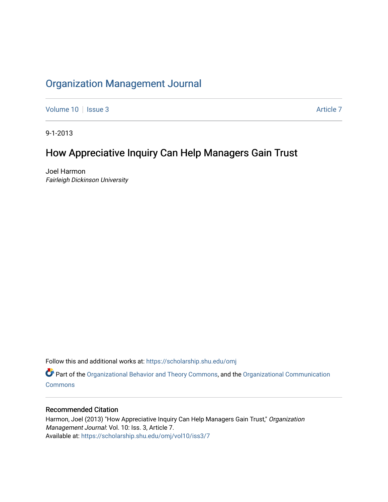# [Organization Management Journal](https://scholarship.shu.edu/omj)

[Volume 10](https://scholarship.shu.edu/omj/vol10) | [Issue 3](https://scholarship.shu.edu/omj/vol10/iss3) Article 7

9-1-2013

# How Appreciative Inquiry Can Help Managers Gain Trust

Joel Harmon Fairleigh Dickinson University

Follow this and additional works at: [https://scholarship.shu.edu/omj](https://scholarship.shu.edu/omj?utm_source=scholarship.shu.edu%2Fomj%2Fvol10%2Fiss3%2F7&utm_medium=PDF&utm_campaign=PDFCoverPages) 

Part of the [Organizational Behavior and Theory Commons,](http://network.bepress.com/hgg/discipline/639?utm_source=scholarship.shu.edu%2Fomj%2Fvol10%2Fiss3%2F7&utm_medium=PDF&utm_campaign=PDFCoverPages) and the [Organizational Communication](http://network.bepress.com/hgg/discipline/335?utm_source=scholarship.shu.edu%2Fomj%2Fvol10%2Fiss3%2F7&utm_medium=PDF&utm_campaign=PDFCoverPages) **[Commons](http://network.bepress.com/hgg/discipline/335?utm_source=scholarship.shu.edu%2Fomj%2Fvol10%2Fiss3%2F7&utm_medium=PDF&utm_campaign=PDFCoverPages)** 

### Recommended Citation

Harmon, Joel (2013) "How Appreciative Inquiry Can Help Managers Gain Trust," Organization Management Journal: Vol. 10: Iss. 3, Article 7. Available at: [https://scholarship.shu.edu/omj/vol10/iss3/7](https://scholarship.shu.edu/omj/vol10/iss3/7?utm_source=scholarship.shu.edu%2Fomj%2Fvol10%2Fiss3%2F7&utm_medium=PDF&utm_campaign=PDFCoverPages)